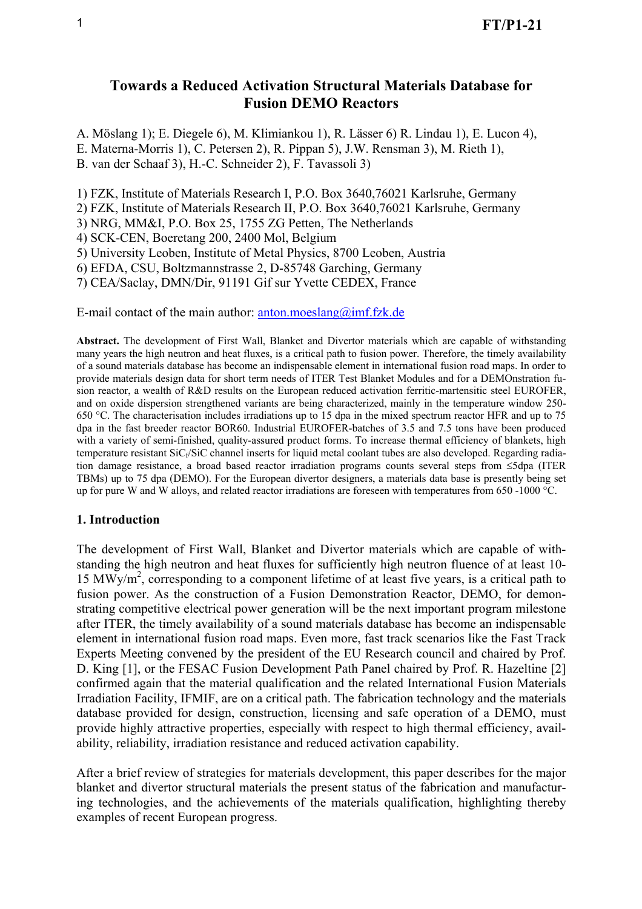# **Towards a Reduced Activation Structural Materials Database for Fusion DEMO Reactors**

A. Möslang 1); E. Diegele 6), M. Klimiankou 1), R. Lässer 6) R. Lindau 1), E. Lucon 4), E. Materna-Morris 1), C. Petersen 2), R. Pippan 5), J.W. Rensman 3), M. Rieth 1), B. van der Schaaf 3), H.-C. Schneider 2), F. Tavassoli 3)

1) FZK, Institute of Materials Research I, P.O. Box 3640,76021 Karlsruhe, Germany

2) FZK, Institute of Materials Research II, P.O. Box 3640,76021 Karlsruhe, Germany

3) NRG, MM&I, P.O. Box 25, 1755 ZG Petten, The Netherlands

4) SCK-CEN, Boeretang 200, 2400 Mol, Belgium

5) University Leoben, Institute of Metal Physics, 8700 Leoben, Austria

6) EFDA, CSU, Boltzmannstrasse 2, D-85748 Garching, Germany

7) CEA/Saclay, DMN/Dir, 91191 Gif sur Yvette CEDEX, France

E-mail contact of the main author:  $\frac{\text{anton}}{\text{anton}}$  moeslang  $\textcircled{a}$  imf. fzk. de

**Abstract.** The development of First Wall, Blanket and Divertor materials which are capable of withstanding many years the high neutron and heat fluxes, is a critical path to fusion power. Therefore, the timely availability of a sound materials database has become an indispensable element in international fusion road maps. In order to provide materials design data for short term needs of ITER Test Blanket Modules and for a DEMOnstration fusion reactor, a wealth of R&D results on the European reduced activation ferritic-martensitic steel EUROFER, and on oxide dispersion strengthened variants are being characterized, mainly in the temperature window 250- 650 °C. The characterisation includes irradiations up to 15 dpa in the mixed spectrum reactor HFR and up to 75 dpa in the fast breeder reactor BOR60. Industrial EUROFER-batches of 3.5 and 7.5 tons have been produced with a variety of semi-finished, quality-assured product forms. To increase thermal efficiency of blankets, high temperature resistant  $\text{SiC}_f/\text{SiC}$  channel inserts for liquid metal coolant tubes are also developed. Regarding radiation damage resistance, a broad based reactor irradiation programs counts several steps from ≤5dpa (ITER TBMs) up to 75 dpa (DEMO). For the European divertor designers, a materials data base is presently being set up for pure W and W alloys, and related reactor irradiations are foreseen with temperatures from 650 -1000 °C.

#### **1. Introduction**

The development of First Wall, Blanket and Divertor materials which are capable of withstanding the high neutron and heat fluxes for sufficiently high neutron fluence of at least 10- 15 MWy/m<sup>2</sup>, corresponding to a component lifetime of at least five years, is a critical path to fusion power. As the construction of a Fusion Demonstration Reactor, DEMO, for demonstrating competitive electrical power generation will be the next important program milestone after ITER, the timely availability of a sound materials database has become an indispensable element in international fusion road maps. Even more, fast track scenarios like the Fast Track Experts Meeting convened by the president of the EU Research council and chaired by Prof. D. King [1], or the FESAC Fusion Development Path Panel chaired by Prof. R. Hazeltine [2] confirmed again that the material qualification and the related International Fusion Materials Irradiation Facility, IFMIF, are on a critical path. The fabrication technology and the materials database provided for design, construction, licensing and safe operation of a DEMO, must provide highly attractive properties, especially with respect to high thermal efficiency, availability, reliability, irradiation resistance and reduced activation capability.

After a brief review of strategies for materials development, this paper describes for the major blanket and divertor structural materials the present status of the fabrication and manufacturing technologies, and the achievements of the materials qualification, highlighting thereby examples of recent European progress.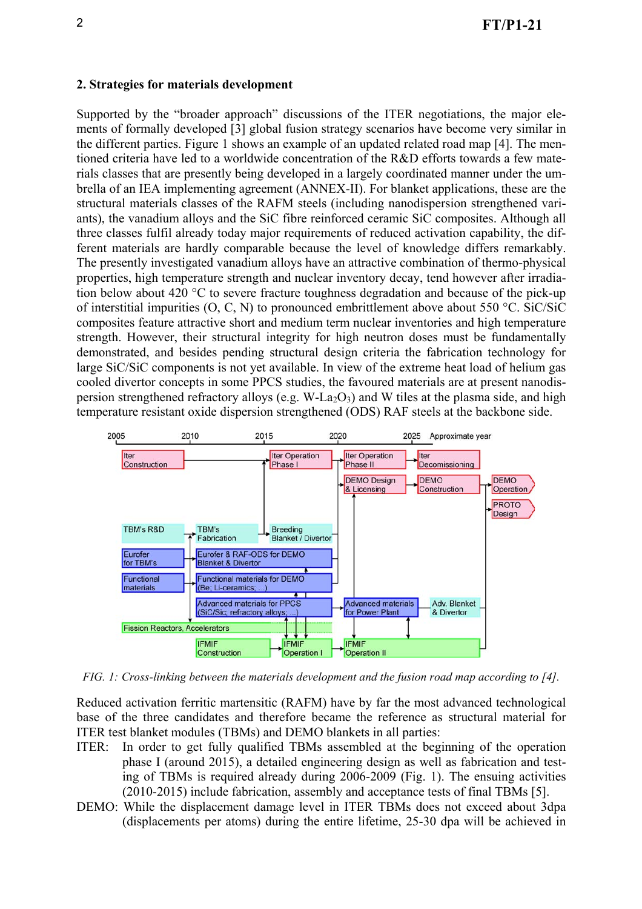## **2. Strategies for materials development**

Supported by the "broader approach" discussions of the ITER negotiations, the major elements of formally developed [3] global fusion strategy scenarios have become very similar in the different parties. Figure 1 shows an example of an updated related road map [4]. The mentioned criteria have led to a worldwide concentration of the R&D efforts towards a few materials classes that are presently being developed in a largely coordinated manner under the umbrella of an IEA implementing agreement (ANNEX-II). For blanket applications, these are the structural materials classes of the RAFM steels (including nanodispersion strengthened variants), the vanadium alloys and the SiC fibre reinforced ceramic SiC composites. Although all three classes fulfil already today major requirements of reduced activation capability, the different materials are hardly comparable because the level of knowledge differs remarkably. The presently investigated vanadium alloys have an attractive combination of thermo-physical properties, high temperature strength and nuclear inventory decay, tend however after irradiation below about 420 °C to severe fracture toughness degradation and because of the pick-up of interstitial impurities (O, C, N) to pronounced embrittlement above about 550 °C. SiC/SiC composites feature attractive short and medium term nuclear inventories and high temperature strength. However, their structural integrity for high neutron doses must be fundamentally demonstrated, and besides pending structural design criteria the fabrication technology for large SiC/SiC components is not yet available. In view of the extreme heat load of helium gas cooled divertor concepts in some PPCS studies, the favoured materials are at present nanodispersion strengthened refractory alloys (e.g. W-La<sub>2</sub>O<sub>3</sub>) and W tiles at the plasma side, and high temperature resistant oxide dispersion strengthened (ODS) RAF steels at the backbone side.



*FIG. 1: Cross-linking between the materials development and the fusion road map according to [4].* 

Reduced activation ferritic martensitic (RAFM) have by far the most advanced technological base of the three candidates and therefore became the reference as structural material for ITER test blanket modules (TBMs) and DEMO blankets in all parties:

- ITER: In order to get fully qualified TBMs assembled at the beginning of the operation phase I (around 2015), a detailed engineering design as well as fabrication and testing of TBMs is required already during 2006-2009 (Fig. 1). The ensuing activities (2010-2015) include fabrication, assembly and acceptance tests of final TBMs [5].
- DEMO: While the displacement damage level in ITER TBMs does not exceed about 3dpa (displacements per atoms) during the entire lifetime, 25-30 dpa will be achieved in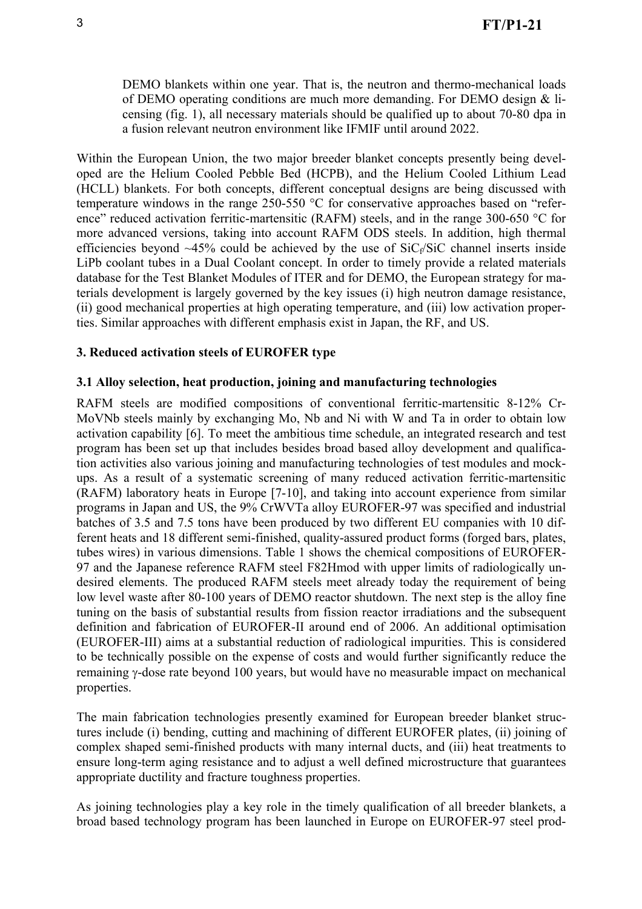DEMO blankets within one year. That is, the neutron and thermo-mechanical loads of DEMO operating conditions are much more demanding. For DEMO design & licensing (fig. 1), all necessary materials should be qualified up to about 70-80 dpa in a fusion relevant neutron environment like IFMIF until around 2022.

Within the European Union, the two major breeder blanket concepts presently being developed are the Helium Cooled Pebble Bed (HCPB), and the Helium Cooled Lithium Lead (HCLL) blankets. For both concepts, different conceptual designs are being discussed with temperature windows in the range 250-550 °C for conservative approaches based on "reference" reduced activation ferritic-martensitic (RAFM) steels, and in the range 300-650 °C for more advanced versions, taking into account RAFM ODS steels. In addition, high thermal efficiencies beyond  $\sim$ 45% could be achieved by the use of SiC<sub>t</sub>/SiC channel inserts inside LiPb coolant tubes in a Dual Coolant concept. In order to timely provide a related materials database for the Test Blanket Modules of ITER and for DEMO, the European strategy for materials development is largely governed by the key issues (i) high neutron damage resistance, (ii) good mechanical properties at high operating temperature, and (iii) low activation properties. Similar approaches with different emphasis exist in Japan, the RF, and US.

# **3. Reduced activation steels of EUROFER type**

# **3.1 Alloy selection, heat production, joining and manufacturing technologies**

RAFM steels are modified compositions of conventional ferritic-martensitic 8-12% Cr-MoVNb steels mainly by exchanging Mo, Nb and Ni with W and Ta in order to obtain low activation capability [6]. To meet the ambitious time schedule, an integrated research and test program has been set up that includes besides broad based alloy development and qualification activities also various joining and manufacturing technologies of test modules and mockups. As a result of a systematic screening of many reduced activation ferritic-martensitic (RAFM) laboratory heats in Europe [7-10], and taking into account experience from similar programs in Japan and US, the 9% CrWVTa alloy EUROFER-97 was specified and industrial batches of 3.5 and 7.5 tons have been produced by two different EU companies with 10 different heats and 18 different semi-finished, quality-assured product forms (forged bars, plates, tubes wires) in various dimensions. Table 1 shows the chemical compositions of EUROFER-97 and the Japanese reference RAFM steel F82Hmod with upper limits of radiologically undesired elements. The produced RAFM steels meet already today the requirement of being low level waste after 80-100 years of DEMO reactor shutdown. The next step is the alloy fine tuning on the basis of substantial results from fission reactor irradiations and the subsequent definition and fabrication of EUROFER-II around end of 2006. An additional optimisation (EUROFER-III) aims at a substantial reduction of radiological impurities. This is considered to be technically possible on the expense of costs and would further significantly reduce the remaining γ-dose rate beyond 100 years, but would have no measurable impact on mechanical properties.

The main fabrication technologies presently examined for European breeder blanket structures include (i) bending, cutting and machining of different EUROFER plates, (ii) joining of complex shaped semi-finished products with many internal ducts, and (iii) heat treatments to ensure long-term aging resistance and to adjust a well defined microstructure that guarantees appropriate ductility and fracture toughness properties.

As joining technologies play a key role in the timely qualification of all breeder blankets, a broad based technology program has been launched in Europe on EUROFER-97 steel prod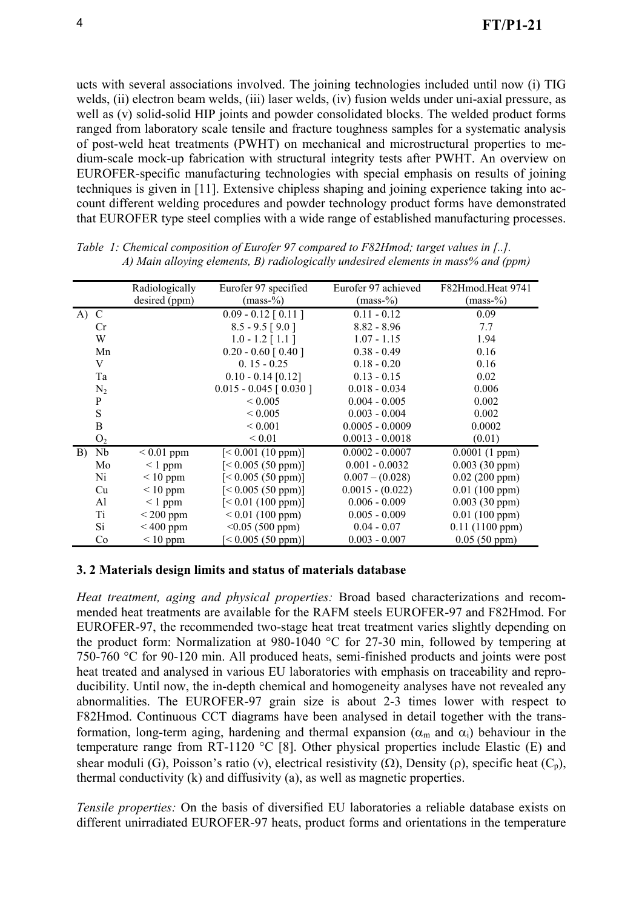ucts with several associations involved. The joining technologies included until now (i) TIG welds, (ii) electron beam welds, (iii) laser welds, (iv) fusion welds under uni-axial pressure, as well as (v) solid-solid HIP joints and powder consolidated blocks. The welded product forms ranged from laboratory scale tensile and fracture toughness samples for a systematic analysis of post-weld heat treatments (PWHT) on mechanical and microstructural properties to medium-scale mock-up fabrication with structural integrity tests after PWHT. An overview on EUROFER-specific manufacturing technologies with special emphasis on results of joining techniques is given in [11]. Extensive chipless shaping and joining experience taking into account different welding procedures and powder technology product forms have demonstrated that EUROFER type steel complies with a wide range of established manufacturing processes.

|                | Radiologically | Eurofer 97 specified              | Eurofer 97 achieved | F82Hmod.Heat 9741 |
|----------------|----------------|-----------------------------------|---------------------|-------------------|
|                | desired (ppm)  | $(mass-%$                         | $(mass-%$           | $(mass-%$         |
| A) C           |                | $\overline{0.09}$ - 0.12 [ 0.11 ] | $0.11 - 0.12$       | 0.09              |
| <b>Cr</b>      |                | $8.5 - 9.5$ [9.0]                 | $8.82 - 8.96$       | 7.7               |
| W              |                | $1.0 - 1.2$ [1.1]                 | $1.07 - 1.15$       | 1.94              |
| Mn             |                | $0.20 - 0.60$ [ 0.40 ]            | $0.38 - 0.49$       | 0.16              |
| V              |                | $0.15 - 0.25$                     | $0.18 - 0.20$       | 0.16              |
| Ta             |                | $0.10 - 0.14$ [0.12]              | $0.13 - 0.15$       | 0.02              |
| $N_2$          |                | $0.015 - 0.045$ [ 0.030 ]         | $0.018 - 0.034$     | 0.006             |
| P              |                | ${}_{\leq 0.005}$                 | $0.004 - 0.005$     | 0.002             |
| ${\bf S}$      |                | ${}_{\leq 0.005}$                 | $0.003 - 0.004$     | 0.002             |
| B              |                | ${}< 0.001$                       | $0.0005 - 0.0009$   | 0.0002            |
| O <sub>2</sub> |                | ${}_{0.01}$                       | $0.0013 - 0.0018$   | (0.01)            |
| Nb<br>B)       | $< 0.01$ ppm   | [< 0.001 (10 ppm)]                | $0.0002 - 0.0007$   | 0.0001(1 ppm)     |
| Mo             | $\leq 1$ ppm   | [< 0.005 (50 ppm)]                | $0.001 - 0.0032$    | 0.003(30 ppm)     |
| Ni             | $\leq 10$ ppm  | [< 0.005 (50 ppm)]                | $0.007 - (0.028)$   | 0.02(200 ppm)     |
| Cu             | $\leq 10$ ppm  | [< 0.005 (50 ppm)]                | $0.0015 - (0.022)$  | 0.01(100 ppm)     |
| Al             | $\leq 1$ ppm   | [< 0.01 (100 ppm)]                | $0.006 - 0.009$     | 0.003(30 ppm)     |
| Ti             | $<$ 200 ppm    | $< 0.01$ (100 ppm)                | $0.005 - 0.009$     | 0.01(100 ppm)     |
| Si             | $< 400$ ppm    | $< 0.05$ (500 ppm)                | $0.04 - 0.07$       | 0.11(1100 ppm)    |
| Co             | $< 10$ ppm     | $\leq 0.005$ (50 ppm)]            | $0.003 - 0.007$     | 0.05(50 ppm)      |

*Table 1: Chemical composition of Eurofer 97 compared to F82Hmod; target values in [..]. A) Main alloying elements, B) radiologically undesired elements in mass% and (ppm)* 

### **3. 2 Materials design limits and status of materials database**

*Heat treatment, aging and physical properties:* Broad based characterizations and recommended heat treatments are available for the RAFM steels EUROFER-97 and F82Hmod. For EUROFER-97, the recommended two-stage heat treat treatment varies slightly depending on the product form: Normalization at 980-1040 °C for 27-30 min, followed by tempering at 750-760 °C for 90-120 min. All produced heats, semi-finished products and joints were post heat treated and analysed in various EU laboratories with emphasis on traceability and reproducibility. Until now, the in-depth chemical and homogeneity analyses have not revealed any abnormalities. The EUROFER-97 grain size is about 2-3 times lower with respect to F82Hmod. Continuous CCT diagrams have been analysed in detail together with the transformation, long-term aging, hardening and thermal expansion ( $\alpha_m$  and  $\alpha_i$ ) behaviour in the temperature range from RT-1120 °C [8]. Other physical properties include Elastic (E) and shear moduli (G), Poisson's ratio (ν), electrical resistivity (Ω), Density (ρ), specific heat  $(C_p)$ , thermal conductivity (k) and diffusivity (a), as well as magnetic properties.

*Tensile properties:* On the basis of diversified EU laboratories a reliable database exists on different unirradiated EUROFER-97 heats, product forms and orientations in the temperature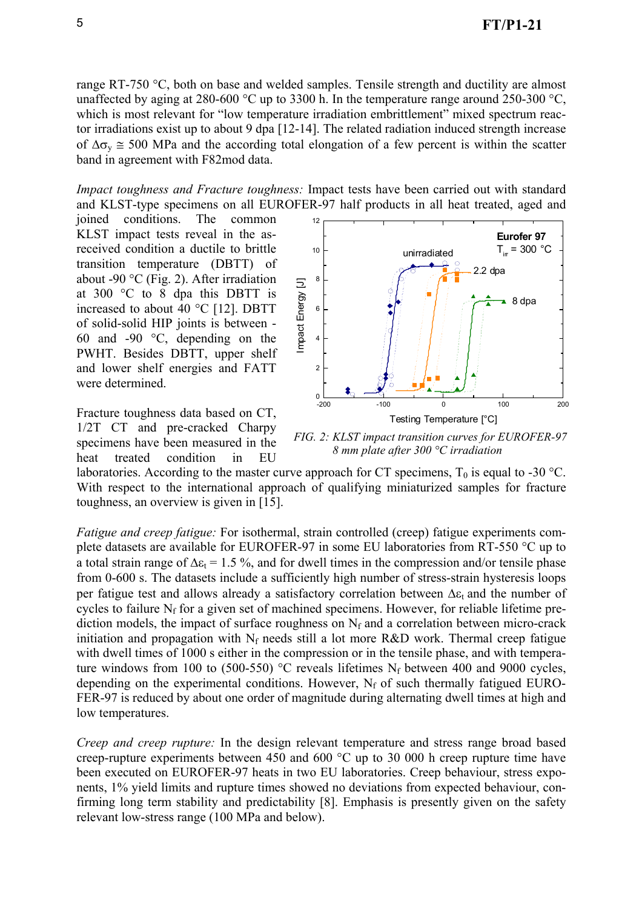range RT-750 °C, both on base and welded samples. Tensile strength and ductility are almost unaffected by aging at 280-600 °C up to 3300 h. In the temperature range around 250-300 °C, which is most relevant for "low temperature irradiation embrittlement" mixed spectrum reactor irradiations exist up to about 9 dpa [12-14]. The related radiation induced strength increase of  $\Delta \sigma$ <sub>y</sub>  $\cong$  500 MPa and the according total elongation of a few percent is within the scatter band in agreement with F82mod data.

*Impact toughness and Fracture toughness:* Impact tests have been carried out with standard and KLST-type specimens on all EUROFER-97 half products in all heat treated, aged and

joined conditions. The common KLST impact tests reveal in the asreceived condition a ductile to brittle transition temperature (DBTT) of about -90  $^{\circ}$ C (Fig. 2). After irradiation at 300 °C to 8 dpa this DBTT is increased to about 40 °C [12]. DBTT of solid-solid HIP joints is between - 60 and -90 °C, depending on the PWHT. Besides DBTT, upper shelf and lower shelf energies and FATT were determined.

Fracture toughness data based on CT, 1/2T CT and pre-cracked Charpy specimens have been measured in the heat treated condition in EU



*FIG. 2: KLST impact transition curves for EUROFER-97 8 mm plate after 300 °C irradiation*

laboratories. According to the master curve approach for CT specimens,  $T_0$  is equal to -30 °C. With respect to the international approach of qualifying miniaturized samples for fracture toughness, an overview is given in [15].

*Fatigue and creep fatigue:* For isothermal, strain controlled (creep) fatigue experiments complete datasets are available for EUROFER-97 in some EU laboratories from RT-550 °C up to a total strain range of  $\Delta \epsilon_1 = 1.5$ %, and for dwell times in the compression and/or tensile phase from 0-600 s. The datasets include a sufficiently high number of stress-strain hysteresis loops per fatigue test and allows already a satisfactory correlation between  $\Delta \varepsilon_t$  and the number of cycles to failure  $N_f$  for a given set of machined specimens. However, for reliable lifetime prediction models, the impact of surface roughness on  $N_f$  and a correlation between micro-crack initiation and propagation with  $N_f$  needs still a lot more R&D work. Thermal creep fatigue with dwell times of 1000 s either in the compression or in the tensile phase, and with temperature windows from 100 to (500-550)  $^{\circ}$ C reveals lifetimes N<sub>f</sub> between 400 and 9000 cycles, depending on the experimental conditions. However,  $N_f$  of such thermally fatigued EURO-FER-97 is reduced by about one order of magnitude during alternating dwell times at high and low temperatures.

*Creep and creep rupture:* In the design relevant temperature and stress range broad based creep-rupture experiments between 450 and 600 °C up to 30 000 h creep rupture time have been executed on EUROFER-97 heats in two EU laboratories. Creep behaviour, stress exponents, 1% yield limits and rupture times showed no deviations from expected behaviour, confirming long term stability and predictability [8]. Emphasis is presently given on the safety relevant low-stress range (100 MPa and below).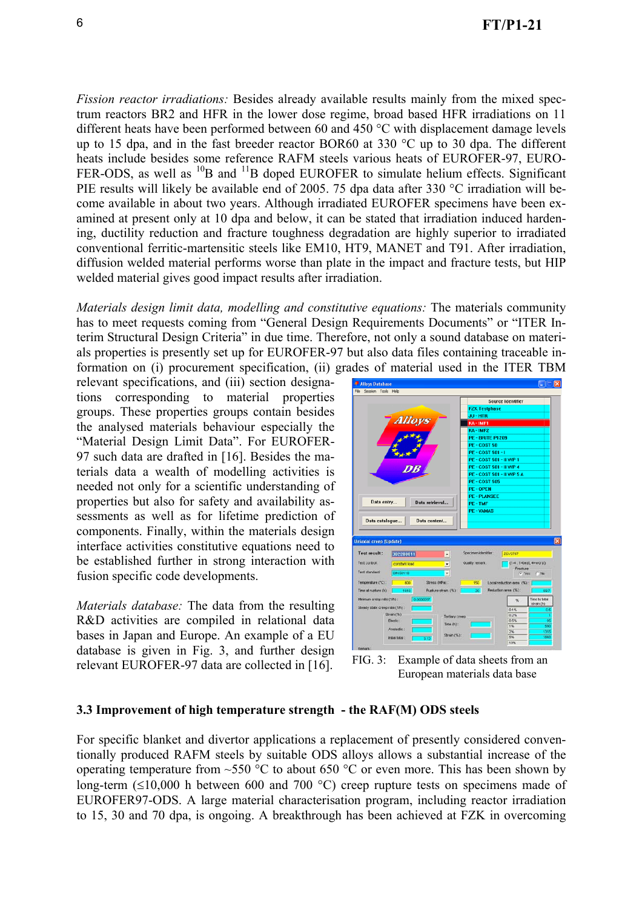*Fission reactor irradiations:* Besides already available results mainly from the mixed spectrum reactors BR2 and HFR in the lower dose regime, broad based HFR irradiations on 11 different heats have been performed between 60 and 450 °C with displacement damage levels up to 15 dpa, and in the fast breeder reactor BOR60 at 330 °C up to 30 dpa. The different heats include besides some reference RAFM steels various heats of EUROFER-97, EURO-FER-ODS, as well as  $^{10}B$  and  $^{11}B$  doped EUROFER to simulate helium effects. Significant PIE results will likely be available end of 2005. 75 dpa data after 330 °C irradiation will become available in about two years. Although irradiated EUROFER specimens have been examined at present only at 10 dpa and below, it can be stated that irradiation induced hardening, ductility reduction and fracture toughness degradation are highly superior to irradiated conventional ferritic-martensitic steels like EM10, HT9, MANET and T91. After irradiation, diffusion welded material performs worse than plate in the impact and fracture tests, but HIP welded material gives good impact results after irradiation.

*Materials design limit data, modelling and constitutive equations:* The materials community has to meet requests coming from "General Design Requirements Documents" or "ITER Interim Structural Design Criteria" in due time. Therefore, not only a sound database on materials properties is presently set up for EUROFER-97 but also data files containing traceable information on (i) procurement specification, (ii) grades of material used in the ITER TBM

relevant specifications, and (iii) section designations corresponding to material properties groups. These properties groups contain besides the analysed materials behaviour especially the "Material Design Limit Data". For EUROFER-97 such data are drafted in [16]. Besides the materials data a wealth of modelling activities is needed not only for a scientific understanding of properties but also for safety and availability assessments as well as for lifetime prediction of components. Finally, within the materials design interface activities constitutive equations need to be established further in strong interaction with fusion specific code developments.

*Materials database:* The data from the resulting R&D activities are compiled in relational data bases in Japan and Europe. An example of a EU database is given in Fig. 3, and further design relevant EUROFER-97 data are collected in [16].





#### **3.3 Improvement of high temperature strength - the RAF(M) ODS steels**

For specific blanket and divertor applications a replacement of presently considered conventionally produced RAFM steels by suitable ODS alloys allows a substantial increase of the operating temperature from  $\sim$ 550 °C to about 650 °C or even more. This has been shown by long-term (≤10,000 h between 600 and 700 °C) creep rupture tests on specimens made of EUROFER97-ODS. A large material characterisation program, including reactor irradiation to 15, 30 and 70 dpa, is ongoing. A breakthrough has been achieved at FZK in overcoming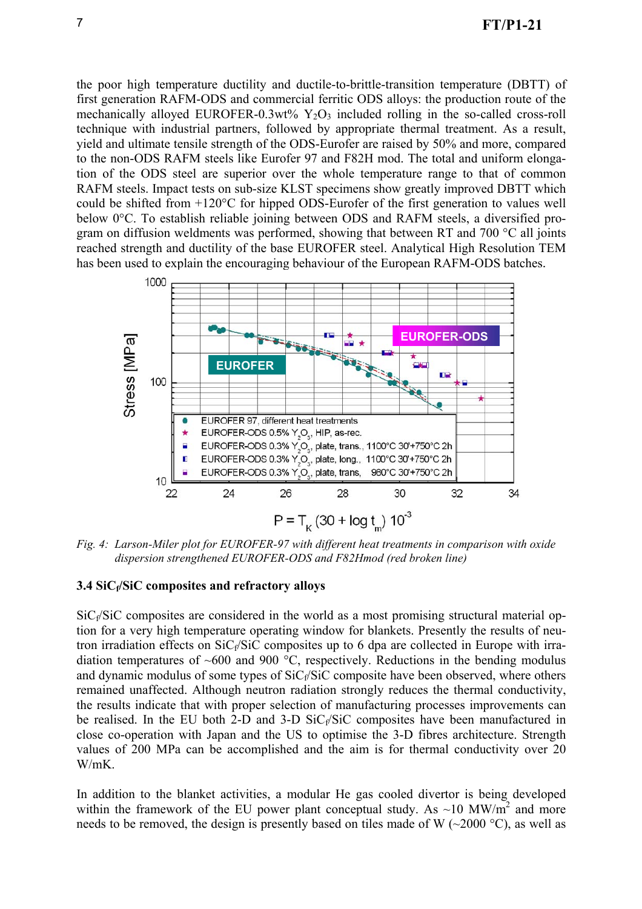the poor high temperature ductility and ductile-to-brittle-transition temperature (DBTT) of first generation RAFM-ODS and commercial ferritic ODS alloys: the production route of the mechanically alloyed EUROFER-0.3wt%  $Y_2O_3$  included rolling in the so-called cross-roll technique with industrial partners, followed by appropriate thermal treatment. As a result, yield and ultimate tensile strength of the ODS-Eurofer are raised by 50% and more, compared to the non-ODS RAFM steels like Eurofer 97 and F82H mod. The total and uniform elongation of the ODS steel are superior over the whole temperature range to that of common RAFM steels. Impact tests on sub-size KLST specimens show greatly improved DBTT which could be shifted from +120°C for hipped ODS-Eurofer of the first generation to values well below 0°C. To establish reliable joining between ODS and RAFM steels, a diversified program on diffusion weldments was performed, showing that between RT and 700 °C all joints reached strength and ductility of the base EUROFER steel. Analytical High Resolution TEM has been used to explain the encouraging behaviour of the European RAFM-ODS batches.



*Fig. 4: Larson-Miler plot for EUROFER-97 with different heat treatments in comparison with oxide dispersion strengthened EUROFER-ODS and F82Hmod (red broken line)*

### **3.4 SiCf/SiC composites and refractory alloys**

 $SiC_f/SiC$  composites are considered in the world as a most promising structural material option for a very high temperature operating window for blankets. Presently the results of neutron irradiation effects on  $SiC_f/SiC$  composites up to 6 dpa are collected in Europe with irradiation temperatures of  $~600$  and 900 °C, respectively. Reductions in the bending modulus and dynamic modulus of some types of  $SiC_f/SiC$  composite have been observed, where others remained unaffected. Although neutron radiation strongly reduces the thermal conductivity, the results indicate that with proper selection of manufacturing processes improvements can be realised. In the EU both 2-D and 3-D  $SiC_f/SiC$  composites have been manufactured in close co-operation with Japan and the US to optimise the 3-D fibres architecture. Strength values of 200 MPa can be accomplished and the aim is for thermal conductivity over 20 W/mK.

In addition to the blanket activities, a modular He gas cooled divertor is being developed within the framework of the EU power plant conceptual study. As  $\sim$ 10 MW/m<sup>2</sup> and more needs to be removed, the design is presently based on tiles made of W  $(\sim 2000 \degree C)$ , as well as